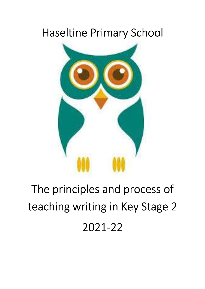## Haseltine Primary School



# The principles and process of teaching writing in Key Stage 2 2021-22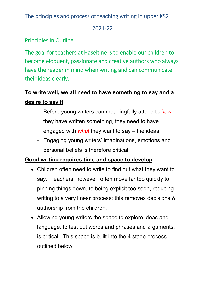#### 2021-22

## Principles in Outline

The goal for teachers at Haseltine is to enable our children to become eloquent, passionate and creative authors who always have the reader in mind when writing and can communicate their ideas clearly.

## To write well, we all need to have something to say and a desire to say it

- Before young writers can meaningfully attend to how they have written something, they need to have engaged with *what* they want to say – the ideas;
- Engaging young writers' imaginations, emotions and personal beliefs is therefore critical.

#### Good writing requires time and space to develop

- Children often need to write to find out what they want to say. Teachers, however, often move far too quickly to pinning things down, to being explicit too soon, reducing writing to a very linear process; this removes decisions & authorship from the children.
- Allowing young writers the space to explore ideas and language, to test out words and phrases and arguments, is critical. This space is built into the 4 stage process outlined below.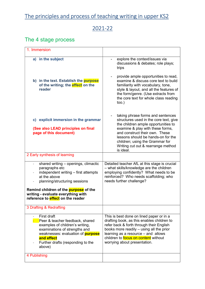## 2021-22

## The 4 stage process

| 1. Immersion                                                                                                                                                                                                                                                        |                                                                                                                                                                                                                                                                                                                      |
|---------------------------------------------------------------------------------------------------------------------------------------------------------------------------------------------------------------------------------------------------------------------|----------------------------------------------------------------------------------------------------------------------------------------------------------------------------------------------------------------------------------------------------------------------------------------------------------------------|
| a) in the subject                                                                                                                                                                                                                                                   | explore the context/issues via<br>discussions & debates; role plays;<br>trips                                                                                                                                                                                                                                        |
| b) in the text. Establish the purpose<br>of the writing; the effect on the<br>reader                                                                                                                                                                                | provide ample opportunities to read,<br>examine & discuss core text to build<br>familiarity with vocabulary, tone,<br>style & layout, and all the features of<br>the form/genre. (Use extracts from<br>the core text for whole class reading<br>too.)                                                                |
| c) explicit immersion in the grammar<br>(See also LEAD principles on final<br>page of this document)                                                                                                                                                                | taking phrase forms and sentences<br>structures used in the core text, give<br>the children ample opportunities to<br>examine & play with these forms,<br>and construct their own. These<br>lessons should be hands-on for the<br>children; using the Grammar for<br>Writing cut out & rearrange method<br>is ideal. |
| 2 Early synthesis of learning                                                                                                                                                                                                                                       |                                                                                                                                                                                                                                                                                                                      |
| shared writing - openings, climactic<br>paragraphs etc<br>independent writing - first attempts<br>at the above<br>planning/structuring sessions<br>Remind children of the purpose of the<br>writing - evaluate everything with<br>reference to effect on the reader | Detailed teacher AfL at this stage is crucial<br>- what skills/knowledge are the children<br>employing confidently? What needs to be<br>reinforced? Who needs scaffolding; who<br>needs further challenge?                                                                                                           |
| 3 Drafting & Redrafting                                                                                                                                                                                                                                             |                                                                                                                                                                                                                                                                                                                      |
| First draft<br>Peer & teacher feedback, shared<br>examples of children's writing,<br>examinations of strengths and<br>weaknesses: evaluation of <b>purpose</b><br>and effect<br>Further drafts (responding to the<br>above)                                         | This is best done on lined paper or in a<br>drafting book, as this enables children to<br>refer back & forth through their English<br>books more readily – using all the prior<br>learning as a resource - and allows<br>children to <b>focus on content</b> without<br>worrying about presentation.                 |
| 4 Publishing                                                                                                                                                                                                                                                        |                                                                                                                                                                                                                                                                                                                      |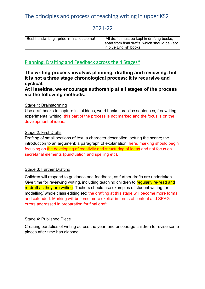#### 2021-22

| Best handwriting- pride in final outcome! | All drafts must be kept in drafting books,<br>apart from final drafts, which should be kept |
|-------------------------------------------|---------------------------------------------------------------------------------------------|
|                                           | in blue English books.                                                                      |

#### Planning, Drafting and Feedback across the 4 Stages\*

The writing process involves planning, drafting and reviewing, but it is not a three stage chronological process: it is recursive and cyclical.

At Haseltine, we encourage authorship at all stages of the process via the following methods:

#### Stage 1: Brainstorming

Use draft books to capture initial ideas, word banks, practice sentences, freewriting, experimental writing; this part of the process is not marked and the focus is on the development of ideas.

#### Stage 2: First Drafts

Drafting of small sections of text: a character description; setting the scene; the introduction to an argument; a paragraph of explanation; here, marking should begin focusing on the developing of creativity and structuring of ideas and not focus on secretarial elements (punctuation and spelling etc).

#### Stage 3: Further Drafting

Children will respond to guidance and feedback, as further drafts are undertaken. Give time for reviewing writing, including teaching children to regularly re-read and re-draft as they are writing. Techers should use examples of student writing for modelling/ whole class editing etc; the drafting at this stage will become more formal and extended. Marking will become more explicit in terms of content and SPAG errors addressed in preparation for final draft.

#### Stage 4: Published Piece

Creating portfolios of writing across the year, and encourage children to revise some pieces after time has elapsed.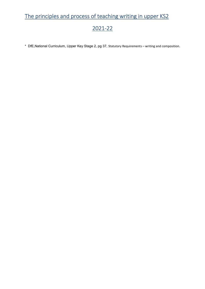## 2021-22

\* DfE,National Curriculum, Upper Key Stage 2, pg 37, Statutory Requirements – writing and composition.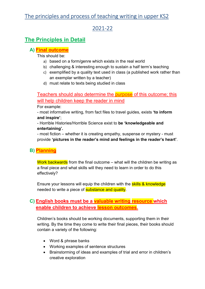#### 2021-22

#### The Principles in Detail

#### A) Final outcome

This should be:

- a) based on a form/genre which exists in the real world
- b) challenging & interesting enough to sustain a half term's teaching
- c) exemplified by a quality text used in class (a published work rather than an exemplar written by a teacher)
- d) must relate to texts being studied in class

Teachers should also determine the purpose of this outcome; this will help children keep the reader in mind

For example:

- most informative writing, from fact files to travel guides, exists 'to inform and inspire';

- Horrible Histories/Horrible Science exist to be 'knowledgeable and entertaining'.

- most fiction – whether it is creating empathy, suspense or mystery - must provide 'pictures in the reader's mind and feelings in the reader's heart'.

#### B) Planning

Work backwards from the final outcome – what will the children be writing as a final piece and what skills will they need to learn in order to do this effectively?

Ensure your lessons will equip the children with the **skills & knowledge** needed to write a piece of **substance and quality**.

#### C) English books must be a valuable writing resource which enable children to achieve lesson outcomes.

Children's books should be working documents, supporting them in their writing. By the time they come to write their final pieces, their books should contain a variety of the following:

- Word & phrase banks
- Working examples of sentence structures
- Brainstorming of ideas and examples of trial and error in children's creative exploration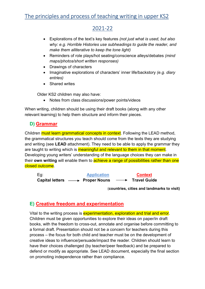#### 2021-22

- Explorations of the text's key features (not just what is used, but also why: e.g. Horrible Histories use subheadings to guide the reader, and make them alliterative to keep the tone light)
- Reminders of role plays/hot seating/conscience alleys/debates (mind maps/photos/short written responses)
- Drawings of characters
- Imaginative explorations of characters' inner life/backstory (e.g. diary entries)
- Shared writes

Older KS2 children may also have:

• Notes from class discussions/power points/videos

When writing, children should be using their draft books (along with any other relevant learning) to help them structure and inform their pieces.

#### D) Grammar

Children must learn grammatical concepts in context. Following the LEAD method, the grammatical structures you teach should come from the texts they are studying and writing (see LEAD attachment). They need to be able to apply the grammar they are taught to writing which is meaningful and relevant to them in that moment. Developing young writers' understanding of the language choices they can make in their own writing will enable them to achieve a range of possibilities rather than one closed outcome.

Eg: Application Context Capital letters  $\longrightarrow$  Proper Nouns  $\longrightarrow$  Travel Guide

(countries, cities and landmarks to visit)

#### E) Creative freedom and experimentation

Vital to the writing process is experimentation, exploration and trial and error. Children must be given opportunities to explore their ideas on paper/in draft books, with the freedom to cross-out, annotate and organise before committing to a formal draft. Presentation should not be a concern for teachers during this process – the focus for both child and teacher must be on the development of creative ideas to influence/persuade/impact the reader. Children should learn to have their choices challenged (by teacher/peer feedback) and be prepared to defend or modify as appropriate. See LEAD document, especially the final section on promoting independence rather than compliance.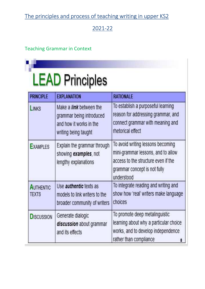## 2021-22

#### Teaching Grammar in Context

| <b>PRINCIPLE</b>          | <b>EXPLANATION</b>                                                                                            | <b>RATIONALE</b>                                                                                                                                             |
|---------------------------|---------------------------------------------------------------------------------------------------------------|--------------------------------------------------------------------------------------------------------------------------------------------------------------|
| <b>LINKS</b>              | Make a <i>link</i> between the<br>grammar being introduced<br>and how it works in the<br>writing being taught | To establish a purposeful learning<br>reason for addressing grammar, and<br>connect grammar with meaning and<br>rhetorical effect                            |
| <b>EXAMPLES</b>           | Explain the grammar through<br>showing examples, not<br>lengthy explanations                                  | To avoid writing lessons becoming<br>mini-grammar lessons, and to allow<br>access to the structure even if the<br>grammar concept is not fully<br>understood |
| <b>AUTHENTIC</b><br>TEXTS | Use <i>authentic</i> texts as<br>models to link writers to the<br>broader community of writers                | To integrate reading and writing and<br>show how 'real' writers make language<br>choices                                                                     |
| <b>DISCUSSION</b>         | Generate dialogic<br>discussion about grammar<br>and its effects                                              | To promote deep metalinguistic<br>learning about why a particular choice<br>works, and to develop independence<br>rather than compliance<br>8                |